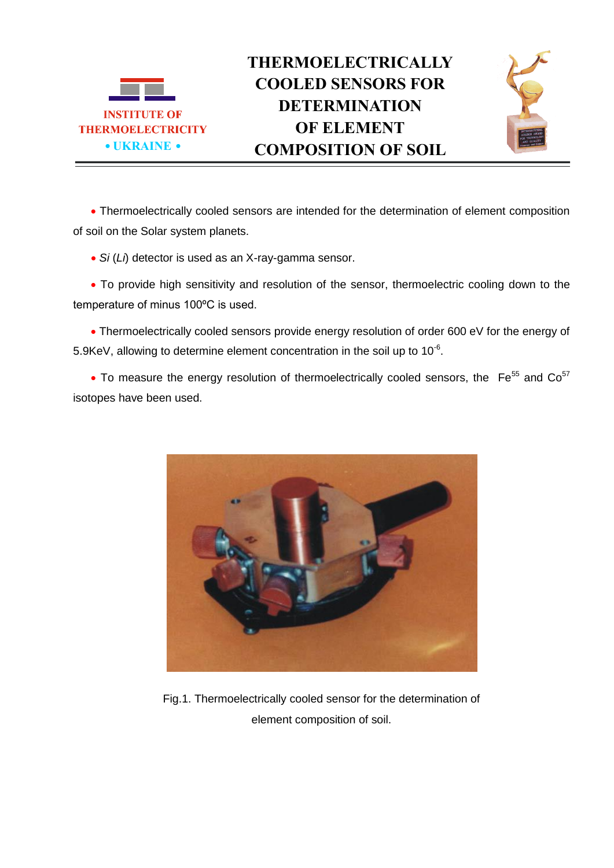



 Thermoelectrically cooled sensors are intended for the determination of element composition of soil on the Solar system planets.

*Si* (*Li*) detector is used as an X-ray-gamma sensor.

• To provide high sensitivity and resolution of the sensor, thermoelectric cooling down to the temperature of minus 100ºC is used.

 Thermoelectrically cooled sensors provide energy resolution of order 600 eV for the energy of 5.9KeV, allowing to determine element concentration in the soil up to 10 $6$ .

 $\bullet$  To measure the energy resolution of thermoelectrically cooled sensors, the  $\mathrm{Fe}^{55}$  and  $\mathrm{Co}^{57}$ isotopes have been used.



Fig.1. Thermoelectrically cooled sensor for the determination of element composition of soil.